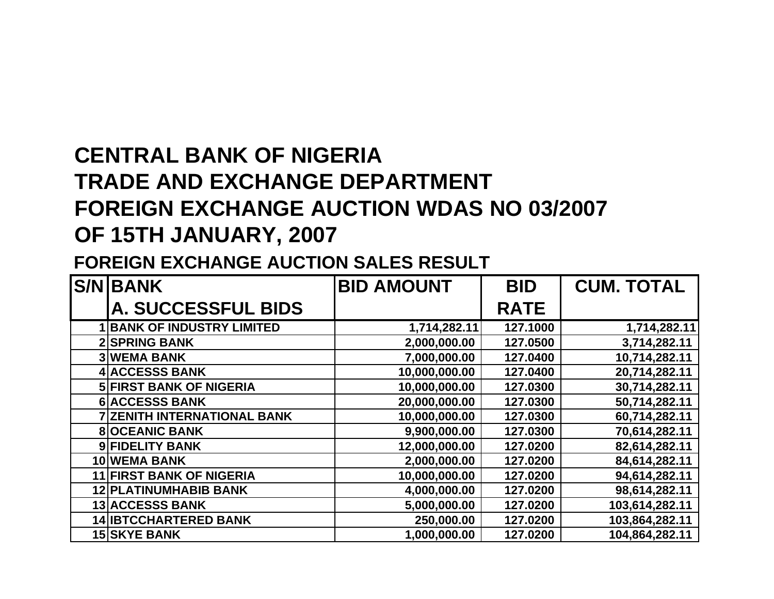## **CENTRAL BANK OF NIGERIA TRADE AND EXCHANGE DEPARTMENT FOREIGN EXCHANGE AUCTION WDAS NO 03/2007 OF 15TH JANUARY, 2007**

## **FOREIGN EXCHANGE AUCTION SALES RESULT**

| <b>S/NIBANK</b>                    | <b>BID AMOUNT</b> | <b>BID</b>  | <b>CUM. TOTAL</b> |
|------------------------------------|-------------------|-------------|-------------------|
| <b>A. SUCCESSFUL BIDS</b>          |                   | <b>RATE</b> |                   |
| <b>BANK OF INDUSTRY LIMITED</b>    | 1,714,282.11      | 127.1000    | 1,714,282.11      |
| <b>2 SPRING BANK</b>               | 2,000,000.00      | 127.0500    | 3,714,282.11      |
| <b>3 WEMA BANK</b>                 | 7,000,000.00      | 127.0400    | 10,714,282.11     |
| <b>4 ACCESSS BANK</b>              | 10,000,000.00     | 127.0400    | 20,714,282.11     |
| <b>5 FIRST BANK OF NIGERIA</b>     | 10,000,000.00     | 127.0300    | 30,714,282.11     |
| <b>6 ACCESSS BANK</b>              | 20,000,000.00     | 127.0300    | 50,714,282.11     |
| <b>7 ZENITH INTERNATIONAL BANK</b> | 10,000,000.00     | 127.0300    | 60,714,282.11     |
| <b>8 OCEANIC BANK</b>              | 9,900,000.00      | 127.0300    | 70,614,282.11     |
| 9 FIDELITY BANK                    | 12,000,000.00     | 127.0200    | 82,614,282.11     |
| 10 WEMA BANK                       | 2,000,000.00      | 127.0200    | 84,614,282.11     |
| <b>11 FIRST BANK OF NIGERIA</b>    | 10,000,000.00     | 127.0200    | 94,614,282.11     |
| <b>12 PLATINUMHABIB BANK</b>       | 4,000,000.00      | 127.0200    | 98,614,282.11     |
| <b>13 ACCESSS BANK</b>             | 5,000,000.00      | 127.0200    | 103,614,282.11    |
| <b>14 IBTCCHARTERED BANK</b>       | 250,000.00        | 127.0200    | 103,864,282.11    |
| <b>15 SKYE BANK</b>                | 1,000,000.00      | 127.0200    | 104,864,282.11    |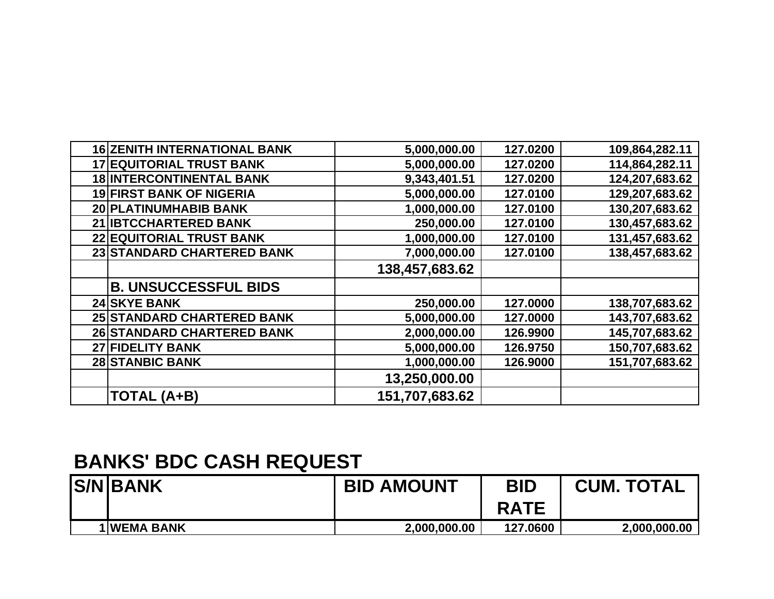| <b>16 ZENITH INTERNATIONAL BANK</b> | 5,000,000.00   | 127.0200 | 109,864,282.11 |
|-------------------------------------|----------------|----------|----------------|
| <b>17 EQUITORIAL TRUST BANK</b>     | 5,000,000.00   | 127.0200 | 114,864,282.11 |
| <b>18 INTERCONTINENTAL BANK</b>     | 9,343,401.51   | 127.0200 | 124,207,683.62 |
| <b>19 FIRST BANK OF NIGERIA</b>     | 5,000,000.00   | 127.0100 | 129,207,683.62 |
| 20 PLATINUMHABIB BANK               | 1,000,000.00   | 127.0100 | 130,207,683.62 |
| 21 IBTCCHARTERED BANK               | 250,000.00     | 127.0100 | 130,457,683.62 |
| <b>22 EQUITORIAL TRUST BANK</b>     | 1,000,000.00   | 127.0100 | 131,457,683.62 |
| 23 STANDARD CHARTERED BANK          | 7,000,000.00   | 127.0100 | 138,457,683.62 |
|                                     | 138,457,683.62 |          |                |
| <b>B. UNSUCCESSFUL BIDS</b>         |                |          |                |
| <b>24 SKYE BANK</b>                 | 250,000.00     | 127.0000 | 138,707,683.62 |
| 25 STANDARD CHARTERED BANK          | 5,000,000.00   | 127.0000 | 143,707,683.62 |
| 26 STANDARD CHARTERED BANK          | 2,000,000.00   | 126.9900 | 145,707,683.62 |
| 27 FIDELITY BANK                    | 5,000,000.00   | 126.9750 | 150,707,683.62 |
| <b>28 STANBIC BANK</b>              | 1,000,000.00   | 126.9000 | 151,707,683.62 |
|                                     | 13,250,000.00  |          |                |
| <b>TOTAL (A+B)</b>                  | 151,707,683.62 |          |                |

## **BANKS' BDC CASH REQUEST**

| <b>S/N BANK</b> | <b>BID AMOUNT</b> | <b>BID</b>  | <b>CUM. TOTAL</b> |
|-----------------|-------------------|-------------|-------------------|
|                 |                   | <b>RATE</b> |                   |
| 1 WEMA BANK     | 2,000,000.00      | 127.0600    | 2,000,000.00      |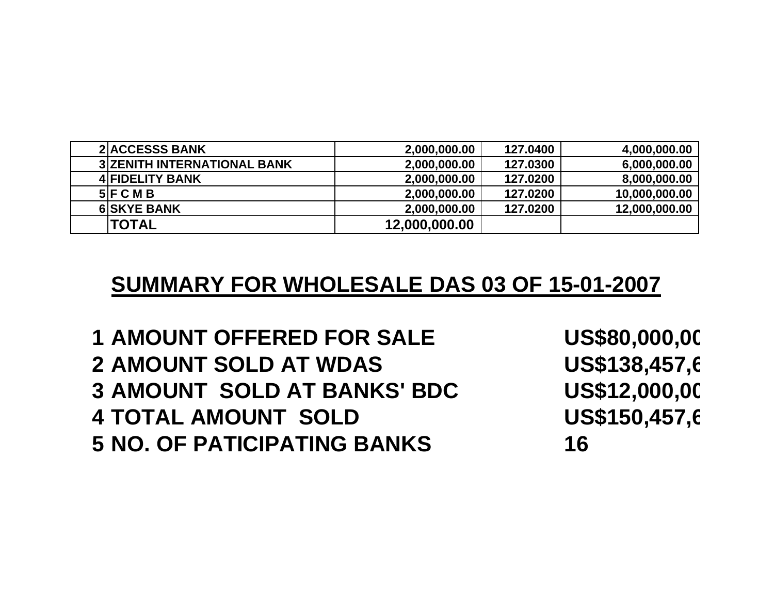| <b>2 ACCESSS BANK</b>              | 2,000,000.00  | 127.0400 | 4,000,000.00  |
|------------------------------------|---------------|----------|---------------|
| <b>3 ZENITH INTERNATIONAL BANK</b> | 2,000,000.00  | 127.0300 | 6,000,000.00  |
| <b>4 FIDELITY BANK</b>             | 2,000,000.00  | 127.0200 | 8,000,000.00  |
| 5 F C M B                          | 2,000,000.00  | 127.0200 | 10,000,000.00 |
| <b>6 SKYE BANK</b>                 | 2,000,000.00  | 127.0200 | 12,000,000.00 |
| <b>ITOTAL</b>                      | 12,000,000.00 |          |               |

## **SUMMARY FOR WHOLESALE DAS 03 OF 15-01-2007**

 **AMOUNT OFFERED FOR SALE US\$80,000,000.00 AMOUNT SOLD AT WDAS US\$138,457,683.62 AMOUNT SOLD AT BANKS' BDC US\$12,000,000.00 TOTAL AMOUNT SOLD US\$150,457,683.62 NO. OF PATICIPATING BANKS 16**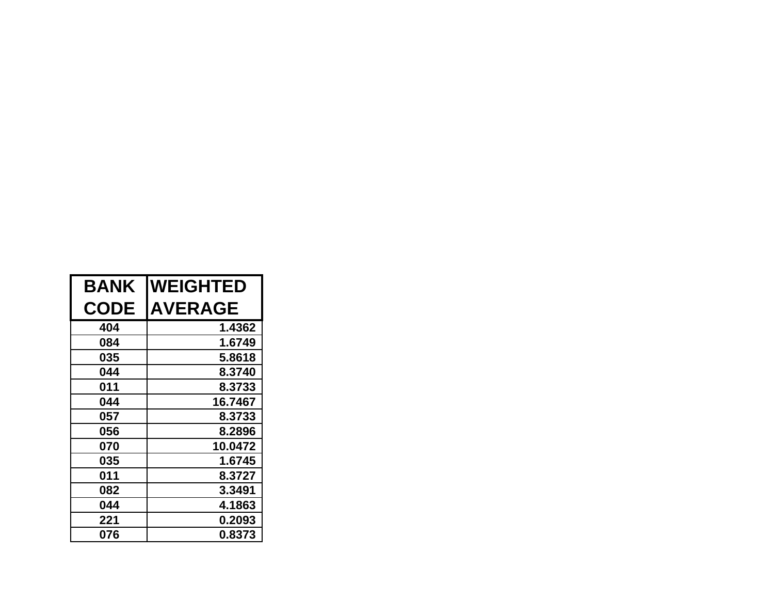| <b>BANK</b> | <b>WEIGHTED</b> |
|-------------|-----------------|
| <b>CODE</b> | <b>AVERAGE</b>  |
| 404         | 1.4362          |
| 084         | 1.6749          |
| 035         | 5.8618          |
| 044         | 8.3740          |
| 011         | 8.3733          |
| 044         | 16.7467         |
| 057         | 8.3733          |
| 056         | 8.2896          |
| 070         | 10.0472         |
| 035         | 1.6745          |
| 011         | 8.3727          |
| 082         | 3.3491          |
| 044         | 4.1863          |
| 221         | 0.2093          |
| 076         | 0.8373          |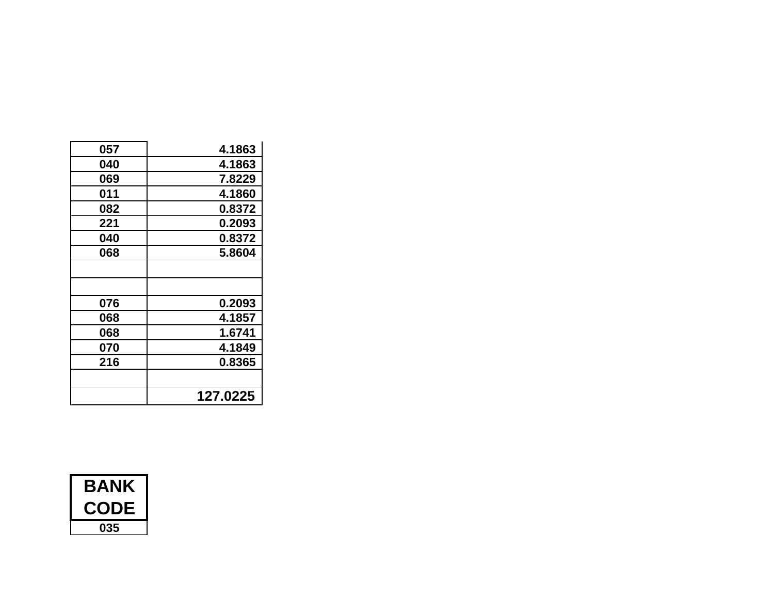| 057 | 4.1863   |
|-----|----------|
| 040 | 4.1863   |
| 069 | 7.8229   |
| 011 | 4.1860   |
| 082 | 0.8372   |
| 221 | 0.2093   |
| 040 | 0.8372   |
| 068 | 5.8604   |
|     |          |
|     |          |
| 076 | 0.2093   |
| 068 | 4.1857   |
| 068 | 1.6741   |
| 070 | 4.1849   |
| 216 | 0.8365   |
|     |          |
|     | 127.0225 |